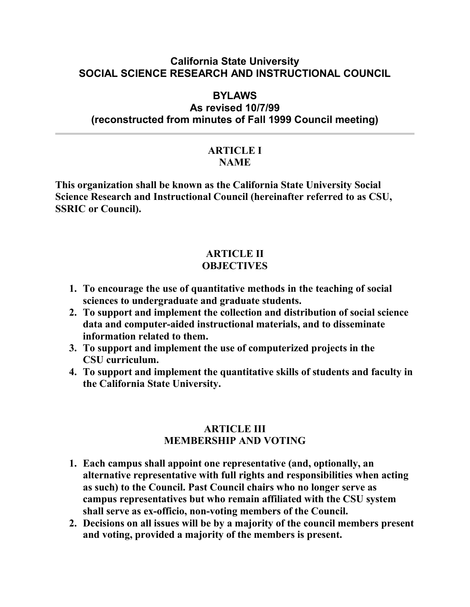### **California State University SOCIAL SCIENCE RESEARCH AND INSTRUCTIONAL COUNCIL**

# **BYLAWS**

# **As revised 10/7/99 (reconstructed from minutes of Fall 1999 Council meeting)**

#### **ARTICLE I NAME**

**This organization shall be known as the California State University Social Science Research and Instructional Council (hereinafter referred to as CSU, SSRIC or Council).**

#### **ARTICLE II OBJECTIVES**

- **1. To encourage the use of quantitative methods in the teaching of social sciences to undergraduate and graduate students.**
- **2. To support and implement the collection and distribution of social science data and computer-aided instructional materials, and to disseminate information related to them.**
- **3. To support and implement the use of computerized projects in the CSU curriculum.**
- **4. To support and implement the quantitative skills of students and faculty in the California State University.**

#### **ARTICLE III MEMBERSHIP AND VOTING**

- **1. Each campus shall appoint one representative (and, optionally, an alternative representative with full rights and responsibilities when acting as such) to the Council. Past Council chairs who no longer serve as campus representatives but who remain affiliated with the CSU system shall serve as ex-officio, non-voting members of the Council.**
- **2. Decisions on all issues will be by a majority of the council members present and voting, provided a majority of the members is present.**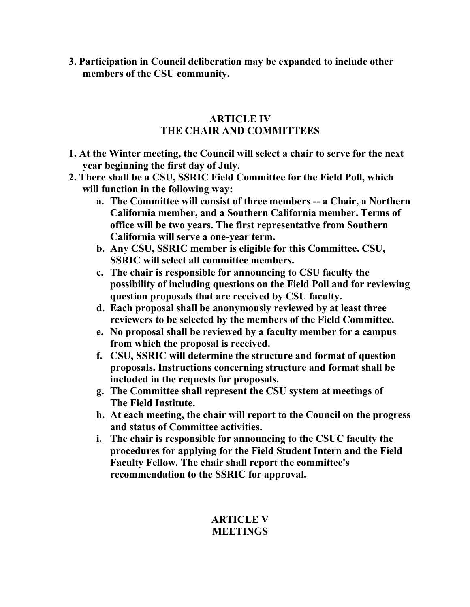**3. Participation in Council deliberation may be expanded to include other members of the CSU community.**

### **ARTICLE IV THE CHAIR AND COMMITTEES**

- **1. At the Winter meeting, the Council will select a chair to serve for the next year beginning the first day of July.**
- **2. There shall be a CSU, SSRIC Field Committee for the Field Poll, which will function in the following way:**
	- **a. The Committee will consist of three members -- a Chair, a Northern California member, and a Southern California member. Terms of office will be two years. The first representative from Southern California will serve a one-year term.**
	- **b. Any CSU, SSRIC member is eligible for this Committee. CSU, SSRIC will select all committee members.**
	- **c. The chair is responsible for announcing to CSU faculty the possibility of including questions on the Field Poll and for reviewing question proposals that are received by CSU faculty.**
	- **d. Each proposal shall be anonymously reviewed by at least three reviewers to be selected by the members of the Field Committee.**
	- **e. No proposal shall be reviewed by a faculty member for a campus from which the proposal is received.**
	- **f. CSU, SSRIC will determine the structure and format of question proposals. Instructions concerning structure and format shall be included in the requests for proposals.**
	- **g. The Committee shall represent the CSU system at meetings of The Field Institute.**
	- **h. At each meeting, the chair will report to the Council on the progress and status of Committee activities.**
	- **i. The chair is responsible for announcing to the CSUC faculty the procedures for applying for the Field Student Intern and the Field Faculty Fellow. The chair shall report the committee's recommendation to the SSRIC for approval.**

# **ARTICLE V MEETINGS**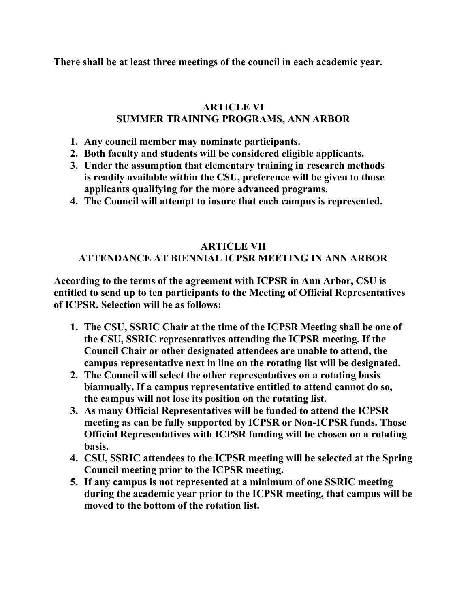**There shall be at least three meetings of the council in each academic year.**

# **ARTICLE VI SUMMER TRAINING PROGRAMS, ANN ARBOR**

- **1. Any council member may nominate participants.**
- **2. Both faculty and students will be considered eligible applicants.**
- **3. Under the assumption that elementary training in research methods is readily available within the CSU, preference will be given to those applicants qualifying for the more advanced programs.**
- **4. The Council will attempt to insure that each campus is represented.**

## **ARTICLE VII ATTENDANCE AT BIENNIAL ICPSR MEETING IN ANN ARBOR**

**According to the terms of the agreement with ICPSR in Ann Arbor, CSU is entitled to send up to ten participants to the Meeting of Official Representatives of ICPSR. Selection will be as follows:**

- **1. The CSU, SSRIC Chair at the time of the ICPSR Meeting shall be one of the CSU, SSRIC representatives attending the ICPSR meeting. If the Council Chair or other designated attendees are unable to attend, the campus representative next in line on the rotating list will be designated.**
- **2. The Council will select the other representatives on a rotating basis biannually. If a campus representative entitled to attend cannot do so, the campus will not lose its position on the rotating list.**
- **3. As many Official Representatives will be funded to attend the ICPSR meeting as can be fully supported by ICPSR or Non-ICPSR funds. Those Official Representatives with ICPSR funding will be chosen on a rotating basis.**
- **4. CSU, SSRIC attendees to the ICPSR meeting will be selected at the Spring Council meeting prior to the ICPSR meeting.**
- **5. If any campus is not represented at a minimum of one SSRIC meeting during the academic year prior to the ICPSR meeting, that campus will be moved to the bottom of the rotation list.**